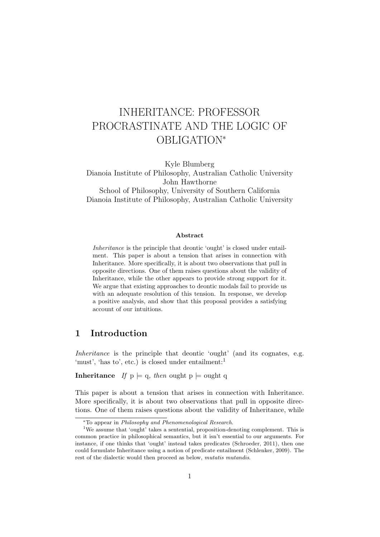# INHERITANCE: PROFESSOR PROCRASTINATE AND THE LOGIC OF OBLIGATION\*

Kyle Blumberg

Dianoia Institute of Philosophy, Australian Catholic University John Hawthorne

School of Philosophy, University of Southern California Dianoia Institute of Philosophy, Australian Catholic University

#### Abstract

Inheritance is the principle that deontic 'ought' is closed under entailment. This paper is about a tension that arises in connection with Inheritance. More specifically, it is about two observations that pull in opposite directions. One of them raises questions about the validity of Inheritance, while the other appears to provide strong support for it. We argue that existing approaches to deontic modals fail to provide us with an adequate resolution of this tension. In response, we develop a positive analysis, and show that this proposal provides a satisfying account of our intuitions.

# <span id="page-0-0"></span>1 Introduction

Inheritance is the principle that deontic 'ought' (and its cognates, e.g. 'must', 'has to', etc.) is closed under entailment:<sup>1</sup>

**Inheritance** If  $p \models q$ , then ought  $p \models \text{ought } q$ 

This paper is about a tension that arises in connection with Inheritance. More specifically, it is about two observations that pull in opposite directions. One of them raises questions about the validity of Inheritance, while

<sup>\*</sup>To appear in Philosophy and Phenomenological Research.

<sup>&</sup>lt;sup>1</sup>We assume that 'ought' takes a sentential, proposition-denoting complement. This is common practice in philosophical semantics, but it isn't essential to our arguments. For instance, if one thinks that 'ought' instead takes predicates [\(Schroeder,](#page-28-0) [2011\)](#page-28-0), then one could formulate Inheritance using a notion of predicate entailment [\(Schlenker,](#page-28-1) [2009\)](#page-28-1). The rest of the dialectic would then proceed as below, mutatis mutandis.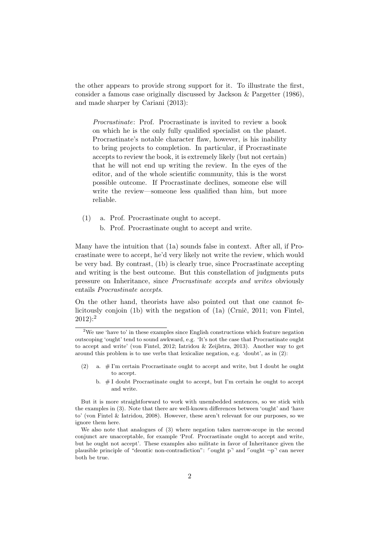the other appears to provide strong support for it. To illustrate the first, consider a famous case originally discussed by [Jackson & Pargetter](#page-28-2) [\(1986\)](#page-28-2), and made sharper by [Cariani](#page-26-0) [\(2013\)](#page-26-0):

Procrastinate: Prof. Procrastinate is invited to review a book on which he is the only fully qualified specialist on the planet. Procrastinate's notable character flaw, however, is his inability to bring projects to completion. In particular, if Procrastinate accepts to review the book, it is extremely likely (but not certain) that he will not end up writing the review. In the eyes of the editor, and of the whole scientific community, this is the worst possible outcome. If Procrastinate declines, someone else will write the review—someone less qualified than him, but more reliable.

- <span id="page-1-1"></span><span id="page-1-0"></span>(1) a. Prof. Procrastinate ought to accept.
	- b. Prof. Procrastinate ought to accept and write.

Many have the intuition that [\(1a\)](#page-1-0) sounds false in context. After all, if Procrastinate were to accept, he'd very likely not write the review, which would be very bad. By contrast, [\(1b\)](#page-1-1) is clearly true, since Procrastinate accepting and writing is the best outcome. But this constellation of judgments puts pressure on Inheritance, since Procrastinate accepts and writes obviously entails Procrastinate accepts.

On the other hand, theorists have also pointed out that one cannot fe-licitously conjoin [\(1b\)](#page-1-1) with the negation of  $(1a)$  (Crnič, [2011;](#page-27-0) [von Fintel,](#page-27-1)  $2012$ :<sup>2</sup>

- <span id="page-1-2"></span>(2) a. # I'm certain Procrastinate ought to accept and write, but I doubt he ought to accept.
	- b. # I doubt Procrastinate ought to accept, but I'm certain he ought to accept and write.

 $2$ We use 'have to' in these examples since English constructions which feature negation outscoping 'ought' tend to sound awkward, e.g. 'It's not the case that Procrastinate ought to accept and write' [\(von Fintel,](#page-27-1) [2012;](#page-27-1) [Iatridou & Zeijlstra,](#page-27-2) [2013\)](#page-27-2). Another way to get around this problem is to use verbs that lexicalize negation, e.g. 'doubt', as in [\(2\)](#page-1-2):

But it is more straightforward to work with unembedded sentences, so we stick with the examples in [\(3\)](#page-2-0). Note that there are well-known differences between 'ought' and 'have to' [\(von Fintel & Iatridou,](#page-27-3) [2008\)](#page-27-3). However, these aren't relevant for our purposes, so we ignore them here.

We also note that analogues of [\(3\)](#page-2-0) where negation takes narrow-scope in the second conjunct are unacceptable, for example 'Prof. Procrastinate ought to accept and write, but he ought not accept'. These examples also militate in favor of Inheritance given the plausible principle of "deontic non-contradiction":  $\lceil \text{ought p} \rceil$  and  $\lceil \text{ought -p} \rceil$  can never both be true.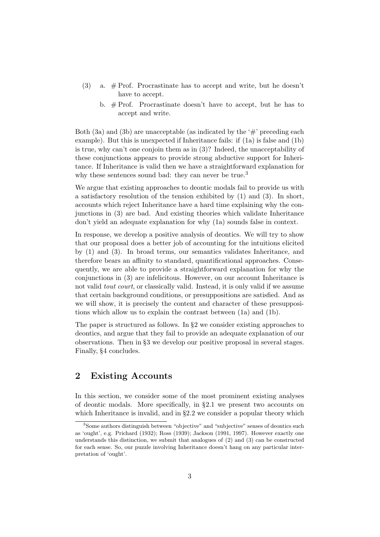- <span id="page-2-1"></span><span id="page-2-0"></span>(3) a.  $#$  Prof. Procrastinate has to accept and write, but he doesn't have to accept.
	- b.  $#$  Prof. Procrastinate doesn't have to accept, but he has to accept and write.

Both [\(3a\)](#page-2-0) and [\(3b\)](#page-2-1) are unacceptable (as indicated by the  $\#$  preceding each example). But this is unexpected if Inheritance fails: if [\(1a\)](#page-1-0) is false and [\(1b\)](#page-1-1) is true, why can't one conjoin them as in [\(3\)](#page-2-0)? Indeed, the unacceptability of these conjunctions appears to provide strong abductive support for Inheritance. If Inheritance is valid then we have a straightforward explanation for why these sentences sound bad: they can never be true.<sup>3</sup>

We argue that existing approaches to deontic modals fail to provide us with a satisfactory resolution of the tension exhibited by [\(1\)](#page-1-0) and [\(3\)](#page-2-0). In short, accounts which reject Inheritance have a hard time explaining why the conjunctions in [\(3\)](#page-2-0) are bad. And existing theories which validate Inheritance don't yield an adequate explanation for why [\(1a\)](#page-1-0) sounds false in context.

In response, we develop a positive analysis of deontics. We will try to show that our proposal does a better job of accounting for the intuitions elicited by [\(1\)](#page-1-0) and [\(3\)](#page-2-0). In broad terms, our semantics validates Inheritance, and therefore bears an affinity to standard, quantificational approaches. Consequently, we are able to provide a straightforward explanation for why the conjunctions in [\(3\)](#page-2-0) are infelicitous. However, on our account Inheritance is not valid *tout court*, or classically valid. Instead, it is only valid if we assume that certain background conditions, or presuppositions are satisfied. And as we will show, it is precisely the content and character of these presuppositions which allow us to explain the contrast between [\(1a\)](#page-1-0) and [\(1b\)](#page-1-1).

The paper is structured as follows. In §[2](#page-2-2) we consider existing approaches to deontics, and argue that they fail to provide an adequate explanation of our observations. Then in §[3](#page-10-0) we develop our positive proposal in several stages. Finally, §[4](#page-26-1) concludes.

## <span id="page-2-2"></span>2 Existing Accounts

In this section, we consider some of the most prominent existing analyses of deontic modals. More specifically, in §[2.1](#page-3-0) we present two accounts on which Inheritance is invalid, and in §[2.2](#page-5-0) we consider a popular theory which

<sup>&</sup>lt;sup>3</sup>Some authors distinguish between "objective" and "subjective" senses of deontics such as 'ought', e.g. [Prichard](#page-28-3) [\(1932\)](#page-28-3); [Ross](#page-28-4) [\(1939\)](#page-28-4); [Jackson](#page-27-4) [\(1991,](#page-27-4) [1997\)](#page-28-5). However exactly one understands this distinction, we submit that analogues of [\(2\)](#page-1-2) and [\(3\)](#page-2-0) can be constructed for each sense. So, our puzzle involving Inheritance doesn't hang on any particular interpretation of 'ought'.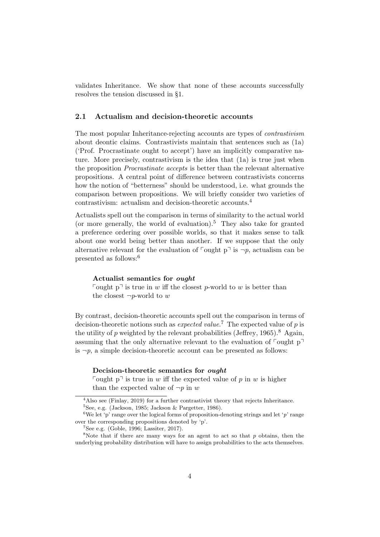validates Inheritance. We show that none of these accounts successfully resolves the tension discussed in §[1.](#page-0-0)

## <span id="page-3-0"></span>2.1 Actualism and decision-theoretic accounts

The most popular Inheritance-rejecting accounts are types of contrastivism about deontic claims. Contrastivists maintain that sentences such as [\(1a\)](#page-1-0) ('Prof. Procrastinate ought to accept') have an implicitly comparative nature. More precisely, contrastivism is the idea that [\(1a\)](#page-1-0) is true just when the proposition Procrastinate accepts is better than the relevant alternative propositions. A central point of difference between contrastivists concerns how the notion of "betterness" should be understood, i.e. what grounds the comparison between propositions. We will briefly consider two varieties of contrastivism: actualism and decision-theoretic accounts.<sup>4</sup>

Actualists spell out the comparison in terms of similarity to the actual world (or more generally, the world of evaluation).<sup>5</sup> They also take for granted a preference ordering over possible worlds, so that it makes sense to talk about one world being better than another. If we suppose that the only alternative relevant for the evaluation of  $\lceil \text{ought p} \rceil$  is  $\neg p$ , actualism can be presented as follows:<sup>6</sup>

#### Actualist semantics for ought

Fought  $p^{\dagger}$  is true in w iff the closest p-world to w is better than the closest  $\neg p$ -world to w

By contrast, decision-theoretic accounts spell out the comparison in terms of decision-theoretic notions such as *expected value*.<sup>7</sup> The expected value of p is the utility of p weighted by the relevant probabilities [\(Jeffrey,](#page-28-6)  $1965$ ).<sup>8</sup> Again, assuming that the only alternative relevant to the evaluation of  $\lceil \text{ought p} \rceil$ is  $\neg p$ , a simple decision-theoretic account can be presented as follows:

#### Decision-theoretic semantics for ought

Fought  $p^{\dagger}$  is true in w iff the expected value of p in w is higher than the expected value of  $\neg p$  in w

<sup>&</sup>lt;sup>4</sup>Also see [\(Finlay,](#page-27-5) [2019\)](#page-27-5) for a further contrastivist theory that rejects Inheritance.

 $5$ See, e.g. [\(Jackson,](#page-27-6) [1985;](#page-27-6) [Jackson & Pargetter,](#page-28-2) [1986\)](#page-28-2).

<sup>&</sup>lt;sup>6</sup>We let 'p' range over the logical forms of proposition-denoting strings and let 'p' range over the corresponding propositions denoted by 'p'.

 $7$ See e.g. [\(Goble,](#page-27-7) [1996;](#page-27-7) [Lassiter,](#page-28-7) [2017\)](#page-28-7).

 $8$ Note that if there are many ways for an agent to act so that p obtains, then the underlying probability distribution will have to assign probabilities to the acts themselves.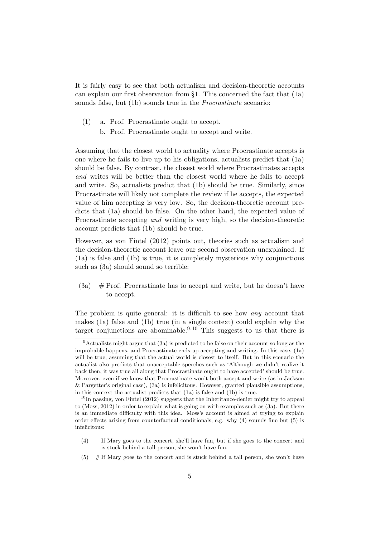It is fairly easy to see that both actualism and decision-theoretic accounts can explain our first observation from §[1.](#page-0-0) This concerned the fact that [\(1a\)](#page-1-0) sounds false, but [\(1b\)](#page-1-1) sounds true in the Procrastinate scenario:

- [\(1\)](#page-1-0) a. Prof. Procrastinate ought to accept.
	- b. Prof. Procrastinate ought to accept and write.

Assuming that the closest world to actuality where Procrastinate accepts is one where he fails to live up to his obligations, actualists predict that [\(1a\)](#page-1-0) should be false. By contrast, the closest world where Procrastinates accepts and writes will be better than the closest world where he fails to accept and write. So, actualists predict that [\(1b\)](#page-1-1) should be true. Similarly, since Procrastinate will likely not complete the review if he accepts, the expected value of him accepting is very low. So, the decision-theoretic account predicts that [\(1a\)](#page-1-0) should be false. On the other hand, the expected value of Procrastinate accepting and writing is very high, so the decision-theoretic account predicts that [\(1b\)](#page-1-1) should be true.

However, as [von Fintel](#page-27-1) [\(2012\)](#page-27-1) points out, theories such as actualism and the decision-theoretic account leave our second observation unexplained. If [\(1a\)](#page-1-0) is false and [\(1b\)](#page-1-1) is true, it is completely mysterious why conjunctions such as  $(3a)$  should sound so terrible:

 $(3a)$  # Prof. Procrastinate has to accept and write, but he doesn't have to accept.

The problem is quite general: it is difficult to see how any account that makes [\(1a\)](#page-1-0) false and [\(1b\)](#page-1-1) true (in a single context) could explain why the target conjunctions are abominable.<sup>9,10</sup> This suggests to us that there is

- <span id="page-4-0"></span>(4) If Mary goes to the concert, she'll have fun, but if she goes to the concert and is stuck behind a tall person, she won't have fun.
- <span id="page-4-1"></span> $(5)$  # If Mary goes to the concert and is stuck behind a tall person, she won't have

 $9$ Actualists might argue that [\(3a\)](#page-2-0) is predicted to be false on their account so long as the improbable happens, and Procrastinate ends up accepting and writing. In this case, [\(1a\)](#page-1-0) will be true, assuming that the actual world is closest to itself. But in this scenario the actualist also predicts that unacceptable speeches such as 'Although we didn't realize it back then, it was true all along that Procrastinate ought to have accepted' should be true. Moreover, even if we know that Procrastinate won't both accept and write (as in [Jackson](#page-28-2) [& Pargetter'](#page-28-2)s original case), [\(3a\)](#page-2-0) is infelicitous. However, granted plausible assumptions, in this context the actualist predicts that [\(1a\)](#page-1-0) is false and [\(1b\)](#page-1-1) is true.

 $10$ In passing, [von Fintel](#page-27-1) [\(2012\)](#page-27-1) suggests that the Inheritance-denier might try to appeal to [\(Moss,](#page-28-8) [2012\)](#page-28-8) in order to explain what is going on with examples such as [\(3a\)](#page-2-0). But there is an immediate difficulty with this idea. Moss's account is aimed at trying to explain order effects arising from counterfactual conditionals, e.g. why [\(4\)](#page-4-0) sounds fine but [\(5\)](#page-4-1) is infelicitous: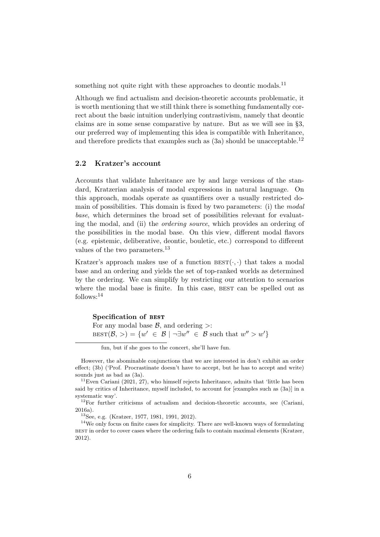something not quite right with these approaches to deontic modals.<sup>11</sup>

Although we find actualism and decision-theoretic accounts problematic, it is worth mentioning that we still think there is something fundamentally correct about the basic intuition underlying contrastivism, namely that deontic claims are in some sense comparative by nature. But as we will see in §[3,](#page-10-0) our preferred way of implementing this idea is compatible with Inheritance, and therefore predicts that examples such as  $(3a)$  should be unacceptable.<sup>12</sup>

## <span id="page-5-0"></span>2.2 Kratzer's account

Accounts that validate Inheritance are by and large versions of the standard, Kratzerian analysis of modal expressions in natural language. On this approach, modals operate as quantifiers over a usually restricted domain of possibilities. This domain is fixed by two parameters: (i) the modal base, which determines the broad set of possibilities relevant for evaluating the modal, and (ii) the ordering source, which provides an ordering of the possibilities in the modal base. On this view, different modal flavors (e.g. epistemic, deliberative, deontic, bouletic, etc.) correspond to different values of the two parameters.<sup>13</sup>

Kratzer's approach makes use of a function  $\text{BEST}(\cdot, \cdot)$  that takes a modal base and an ordering and yields the set of top-ranked worlds as determined by the ordering. We can simplify by restricting our attention to scenarios where the modal base is finite. In this case, BEST can be spelled out as follows:<sup>14</sup>

#### Specification of best

For any modal base  $\mathcal{B}$ , and ordering  $>$ :  $\text{BEST}(\mathcal{B},>) = \{w' \in \mathcal{B} \mid \neg \exists w'' \in \mathcal{B} \text{ such that } w'' > w'\}$ 

fun, but if she goes to the concert, she'll have fun.

<sup>13</sup>See, e.g. [\(Kratzer,](#page-28-9) [1977,](#page-28-9) [1981,](#page-28-10) [1991,](#page-28-11) [2012\)](#page-28-12).

However, the abominable conjunctions that we are interested in don't exhibit an order effect; [\(3b\)](#page-2-1) ('Prof. Procrastinate doesn't have to accept, but he has to accept and write) sounds just as bad as [\(3a\)](#page-2-0).

 $11$ Even [Cariani](#page-27-8) [\(2021,](#page-27-8) 27), who himself rejects Inheritance, admits that 'little has been said by critics of Inheritance, myself included, to account for [examples such as [\(3a\)](#page-2-0)] in a systematic way'.

<sup>12</sup>For further criticisms of actualism and decision-theoretic accounts, see [\(Cariani,](#page-27-9) [2016a\)](#page-27-9).

<sup>14</sup>We only focus on finite cases for simplicity. There are well-known ways of formulating best in order to cover cases where the ordering fails to contain maximal elements [\(Kratzer,](#page-28-12) [2012\)](#page-28-12).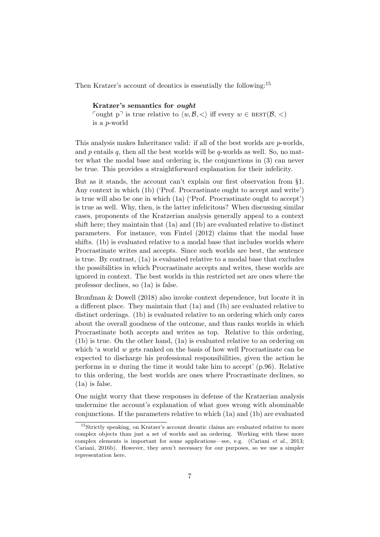Then Kratzer's account of deontics is essentially the following:<sup>15</sup>

#### Kratzer's semantics for ought

Fought p<sup> $\exists$ </sup> is true relative to  $\langle w, \mathcal{B}, \langle \rangle$  iff every  $w \in \text{BEST}(\mathcal{B}, \langle \rangle)$ is a p-world

This analysis makes Inheritance valid: if all of the best worlds are p-worlds, and p entails q, then all the best worlds will be q-worlds as well. So, no matter what the modal base and ordering is, the conjunctions in [\(3\)](#page-2-0) can never be true. This provides a straightforward explanation for their infelicity.

But as it stands, the account can't explain our first observation from §[1.](#page-0-0) Any context in which [\(1b\)](#page-1-1) ('Prof. Procrastinate ought to accept and write') is true will also be one in which [\(1a\)](#page-1-0) ('Prof. Procrastinate ought to accept') is true as well. Why, then, is the latter infelicitous? When discussing similar cases, proponents of the Kratzerian analysis generally appeal to a context shift here; they maintain that [\(1a\)](#page-1-0) and [\(1b\)](#page-1-1) are evaluated relative to distinct parameters. For instance, [von Fintel](#page-27-1) [\(2012\)](#page-27-1) claims that the modal base shifts. [\(1b\)](#page-1-1) is evaluated relative to a modal base that includes worlds where Procrastinate writes and accepts. Since such worlds are best, the sentence is true. By contrast, [\(1a\)](#page-1-0) is evaluated relative to a modal base that excludes the possibilities in which Procrastinate accepts and writes, these worlds are ignored in context. The best worlds in this restricted set are ones where the professor declines, so [\(1a\)](#page-1-0) is false.

[Bronfman & Dowell](#page-26-2) [\(2018\)](#page-26-2) also invoke context dependence, but locate it in a different place. They maintain that [\(1a\)](#page-1-0) and [\(1b\)](#page-1-1) are evaluated relative to distinct orderings. [\(1b\)](#page-1-1) is evaluated relative to an ordering which only cares about the overall goodness of the outcome, and thus ranks worlds in which Procrastinate both accepts and writes as top. Relative to this ordering, [\(1b\)](#page-1-1) is true. On the other hand, [\(1a\)](#page-1-0) is evaluated relative to an ordering on which 'a world w gets ranked on the basis of how well Procrastinate can be expected to discharge his professional responsibilities, given the action he performs in  $w$  during the time it would take him to accept' (p.96). Relative to this ordering, the best worlds are ones where Procrastinate declines, so [\(1a\)](#page-1-0) is false.

One might worry that these responses in defense of the Kratzerian analysis undermine the account's explanation of what goes wrong with abominable conjunctions. If the parameters relative to which [\(1a\)](#page-1-0) and [\(1b\)](#page-1-1) are evaluated

<sup>&</sup>lt;sup>15</sup>Strictly speaking, on Kratzer's account deontic claims are evaluated relative to more complex objects than just a set of worlds and an ordering. Working with these more complex elements is important for some applications—see, e.g. [\(Cariani](#page-27-10) et al., [2013;](#page-27-10) [Cariani,](#page-27-11) [2016b\)](#page-27-11). However, they aren't necessary for our purposes, so we use a simpler representation here.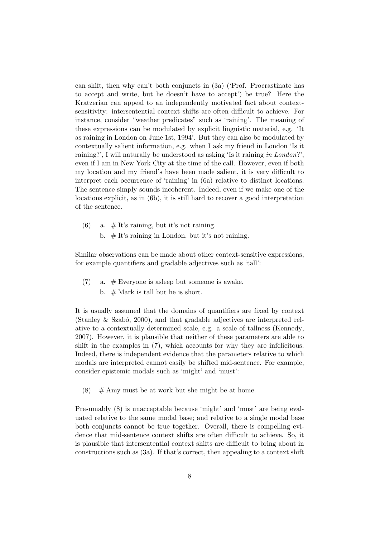can shift, then why can't both conjuncts in [\(3a\)](#page-2-0) ('Prof. Procrastinate has to accept and write, but he doesn't have to accept') be true? Here the Kratzerian can appeal to an independently motivated fact about contextsensitivity: intersentential context shifts are often difficult to achieve. For instance, consider "weather predicates" such as 'raining'. The meaning of these expressions can be modulated by explicit linguistic material, e.g. 'It as raining in London on June 1st, 1994'. But they can also be modulated by contextually salient information, e.g. when I ask my friend in London 'Is it raining?', I will naturally be understood as asking 'Is it raining in London?', even if I am in New York City at the time of the call. However, even if both my location and my friend's have been made salient, it is very difficult to interpret each occurrence of 'raining' in [\(6a\)](#page-7-0) relative to distinct locations. The sentence simply sounds incoherent. Indeed, even if we make one of the locations explicit, as in [\(6b\)](#page-7-1), it is still hard to recover a good interpretation of the sentence.

- <span id="page-7-1"></span><span id="page-7-0"></span>(6) a.  $\#$  It's raining, but it's not raining.
	- b.  $#$  It's raining in London, but it's not raining.

Similar observations can be made about other context-sensitive expressions, for example quantifiers and gradable adjectives such as 'tall':

- <span id="page-7-2"></span>(7) a.  $#$  Everyone is asleep but someone is awake.
	- b.  $#$  Mark is tall but he is short.

It is usually assumed that the domains of quantifiers are fixed by context (Stanley  $\&$  Szabó, [2000\)](#page-28-13), and that gradable adjectives are interpreted relative to a contextually determined scale, e.g. a scale of tallness [\(Kennedy,](#page-28-14) [2007\)](#page-28-14). However, it is plausible that neither of these parameters are able to shift in the examples in [\(7\)](#page-7-2), which accounts for why they are infelicitous. Indeed, there is independent evidence that the parameters relative to which modals are interpreted cannot easily be shifted mid-sentence. For example, consider epistemic modals such as 'might' and 'must':

<span id="page-7-3"></span> $(8)$  # Amy must be at work but she might be at home.

Presumably [\(8\)](#page-7-3) is unacceptable because 'might' and 'must' are being evaluated relative to the same modal base; and relative to a single modal base both conjuncts cannot be true together. Overall, there is compelling evidence that mid-sentence context shifts are often difficult to achieve. So, it is plausible that intersentential context shifts are difficult to bring about in constructions such as [\(3a\)](#page-2-0). If that's correct, then appealing to a context shift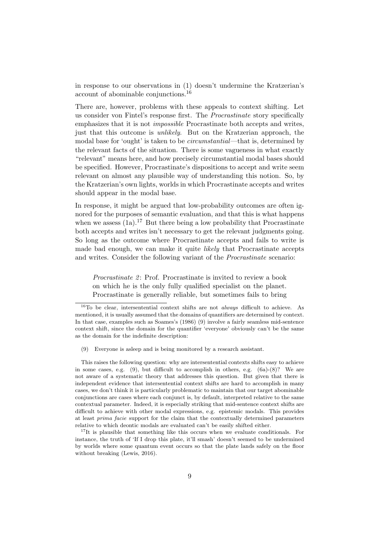in response to our observations in [\(1\)](#page-1-0) doesn't undermine the Kratzerian's account of abominable conjunctions.<sup>16</sup>

There are, however, problems with these appeals to context shifting. Let us consider [von Fintel'](#page-27-1)s response first. The Procrastinate story specifically emphasizes that it is not impossible Procrastinate both accepts and writes, just that this outcome is unlikely. But on the Kratzerian approach, the modal base for 'ought' is taken to be circumstantial—that is, determined by the relevant facts of the situation. There is some vagueness in what exactly "relevant" means here, and how precisely circumstantial modal bases should be specified. However, Procrastinate's dispositions to accept and write seem relevant on almost any plausible way of understanding this notion. So, by the Kratzerian's own lights, worlds in which Procrastinate accepts and writes should appear in the modal base.

In response, it might be argued that low-probability outcomes are often ignored for the purposes of semantic evaluation, and that this is what happens when we assess  $(1a)^{17}$  But there being a low probability that Procrastinate both accepts and writes isn't necessary to get the relevant judgments going. So long as the outcome where Procrastinate accepts and fails to write is made bad enough, we can make it quite likely that Procrastinate accepts and writes. Consider the following variant of the Procrastinate scenario:

*Procrastinate 2*: Prof. Procrastinate is invited to review a book on which he is the only fully qualified specialist on the planet. Procrastinate is generally reliable, but sometimes fails to bring

<span id="page-8-0"></span>(9) Everyone is asleep and is being monitored by a research assistant.

This raises the following question: why are intersentential contexts shifts easy to achieve in some cases, e.g.  $(9)$ , but difficult to accomplish in others, e.g.  $(6a)-(8)$  $(6a)-(8)$  $(6a)-(8)$ ? We are not aware of a systematic theory that addresses this question. But given that there is independent evidence that intersentential context shifts are hard to accomplish in many cases, we don't think it is particularly problematic to maintain that our target abominable conjunctions are cases where each conjunct is, by default, interpreted relative to the same contextual parameter. Indeed, it is especially striking that mid-sentence context shifts are difficult to achieve with other modal expressions, e.g. epistemic modals. This provides at least prima facie support for the claim that the contextually determined parameters relative to which deontic modals are evaluated can't be easily shifted either.

<sup>&</sup>lt;sup>16</sup>To be clear, intersentential context shifts are not *always* difficult to achieve. As mentioned, it is usually assumed that the domains of quantifiers are determined by context. In that case, examples such as [Soames'](#page-28-15)s [\(1986\)](#page-28-15) [\(9\)](#page-8-0) involve a fairly seamless mid-sentence context shift, since the domain for the quantifier 'everyone' obviously can't be the same as the domain for the indefinite description:

 $17$ It is plausible that something like this occurs when we evaluate conditionals. For instance, the truth of 'If I drop this plate, it'll smash' doesn't seemed to be undermined by worlds where some quantum event occurs so that the plate lands safely on the floor without breaking [\(Lewis,](#page-28-16) [2016\)](#page-28-16).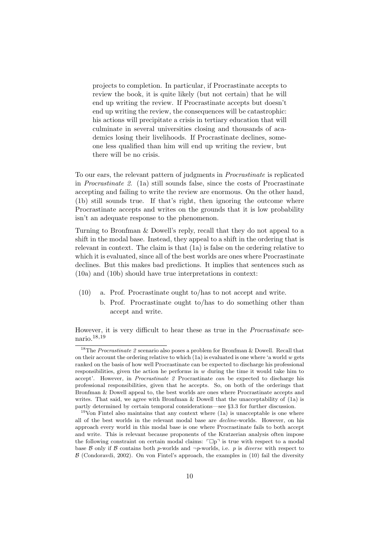projects to completion. In particular, if Procrastinate accepts to review the book, it is quite likely (but not certain) that he will end up writing the review. If Procrastinate accepts but doesn't end up writing the review, the consequences will be catastrophic: his actions will precipitate a crisis in tertiary education that will culminate in several universities closing and thousands of academics losing their livelihoods. If Procrastinate declines, someone less qualified than him will end up writing the review, but there will be no crisis.

To our ears, the relevant pattern of judgments in Procrastinate is replicated in Procrastinate 2. [\(1a\)](#page-1-0) still sounds false, since the costs of Procrastinate accepting and failing to write the review are enormous. On the other hand, [\(1b\)](#page-1-1) still sounds true. If that's right, then ignoring the outcome where Procrastinate accepts and writes on the grounds that it is low probability isn't an adequate response to the phenomenon.

Turning to [Bronfman & Dowell'](#page-26-2)s reply, recall that they do not appeal to a shift in the modal base. Instead, they appeal to a shift in the ordering that is relevant in context. The claim is that [\(1a\)](#page-1-0) is false on the ordering relative to which it is evaluated, since all of the best worlds are ones where Procrastinate declines. But this makes bad predictions. It implies that sentences such as [\(10a\)](#page-9-0) and [\(10b\)](#page-9-1) should have true interpretations in context:

- <span id="page-9-1"></span><span id="page-9-0"></span>(10) a. Prof. Procrastinate ought to/has to not accept and write.
	- b. Prof. Procrastinate ought to/has to do something other than accept and write.

However, it is very difficult to hear these as true in the Procrastinate scenario.18,<sup>19</sup>

<sup>&</sup>lt;sup>18</sup>The *Procrastinate* 2 scenario also poses a problem for [Bronfman & Dowell.](#page-26-2) Recall that on their account the ordering relative to which  $(1a)$  is evaluated is one where 'a world w gets ranked on the basis of how well Procrastinate can be expected to discharge his professional responsibilities, given the action he performs in  $w$  during the time it would take him to accept'. However, in *Procrastinate 2* Procrastinate can be expected to discharge his professional responsibilities, given that he accepts. So, on both of the orderings that [Bronfman & Dowell](#page-26-2) appeal to, the best worlds are ones where Procrastinate accepts and writes. That said, we agree with Bronfman  $\&$  Dowell that the unacceptability of [\(1a\)](#page-1-0) is partly determined by certain temporal considerations—see §[3.3](#page-16-0) for further discussion.

 $19$ Von Fintel also maintains that any context where [\(1a\)](#page-1-0) is unacceptable is one where all of the best worlds in the relevant modal base are decline-worlds. However, on his approach every world in this modal base is one where Procrastinate fails to both accept and write. This is relevant because proponents of the Kratzerian analysis often impose the following constraint on certain modal claims:  $\Box p^{\dagger}$  is true with respect to a modal base  $\beta$  only if  $\beta$  contains both p-worlds and  $\neg p$ -worlds, i.e. p is *diverse* with respect to  $\beta$  [\(Condoravdi,](#page-27-12) [2002\)](#page-27-12). On von Fintel's approach, the examples in [\(10\)](#page-9-0) fail the diversity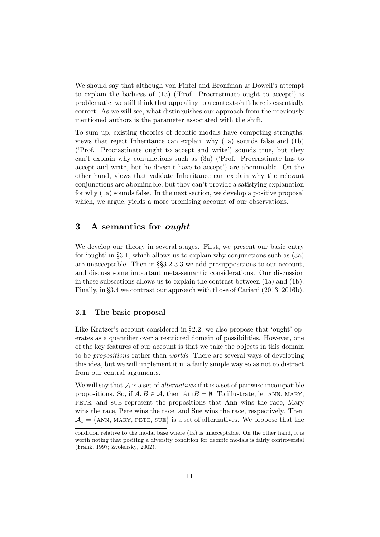We should say that although [von Fintel](#page-27-1) and [Bronfman & Dowell'](#page-26-2)s attempt to explain the badness of [\(1a\)](#page-1-0) ('Prof. Procrastinate ought to accept') is problematic, we still think that appealing to a context-shift here is essentially correct. As we will see, what distinguishes our approach from the previously mentioned authors is the parameter associated with the shift.

To sum up, existing theories of deontic modals have competing strengths: views that reject Inheritance can explain why [\(1a\)](#page-1-0) sounds false and [\(1b\)](#page-1-1) ('Prof. Procrastinate ought to accept and write') sounds true, but they can't explain why conjunctions such as [\(3a\)](#page-2-0) ('Prof. Procrastinate has to accept and write, but he doesn't have to accept') are abominable. On the other hand, views that validate Inheritance can explain why the relevant conjunctions are abominable, but they can't provide a satisfying explanation for why [\(1a\)](#page-1-0) sounds false. In the next section, we develop a positive proposal which, we argue, yields a more promising account of our observations.

## <span id="page-10-0"></span>3 A semantics for ought

We develop our theory in several stages. First, we present our basic entry for 'ought' in §[3.1,](#page-10-1) which allows us to explain why conjunctions such as [\(3a\)](#page-2-0) are unacceptable. Then in §§[3.2-](#page-13-0)[3.3](#page-16-0) we add presuppositions to our account, and discuss some important meta-semantic considerations. Our discussion in these subsections allows us to explain the contrast between [\(1a\)](#page-1-0) and [\(1b\)](#page-1-1). Finally, in §[3.4](#page-23-0) we contrast our approach with those of [Cariani](#page-26-0) [\(2013,](#page-26-0) [2016b\)](#page-27-11).

#### <span id="page-10-1"></span>3.1 The basic proposal

Like Kratzer's account considered in §[2.2,](#page-5-0) we also propose that 'ought' operates as a quantifier over a restricted domain of possibilities. However, one of the key features of our account is that we take the objects in this domain to be propositions rather than worlds. There are several ways of developing this idea, but we will implement it in a fairly simple way so as not to distract from our central arguments.

We will say that  $A$  is a set of *alternatives* if it is a set of pairwise incompatible propositions. So, if  $A, B \in \mathcal{A}$ , then  $A \cap B = \emptyset$ . To illustrate, let ANN, MARY, pete, and sue represent the propositions that Ann wins the race, Mary wins the race, Pete wins the race, and Sue wins the race, respectively. Then  $A_1 = \{ANN, MARK, PETE, SUE\}$  is a set of alternatives. We propose that the

condition relative to the modal base where [\(1a\)](#page-1-0) is unacceptable. On the other hand, it is worth noting that positing a diversity condition for deontic modals is fairly controversial [\(Frank,](#page-27-13) [1997;](#page-27-13) [Zvolensky,](#page-28-17) [2002\)](#page-28-17).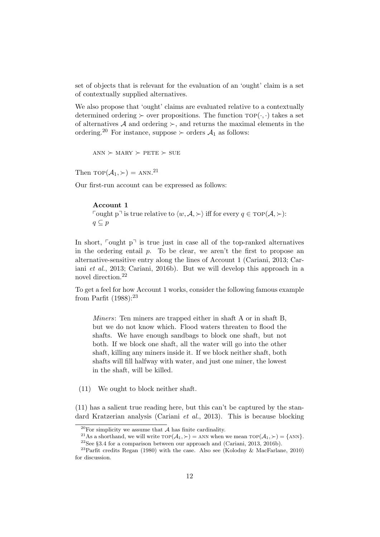set of objects that is relevant for the evaluation of an 'ought' claim is a set of contextually supplied alternatives.

We also propose that 'ought' claims are evaluated relative to a contextually determined ordering  $\succ$  over propositions. The function  $\text{top}(\cdot, \cdot)$  takes a set of alternatives A and ordering  $\succ$ , and returns the maximal elements in the ordering.<sup>20</sup> For instance, suppose  $\succ$  orders  $\mathcal{A}_1$  as follows:

 $ANN \succ MARY \succ PETE \succ SUE$ 

Then  $\text{TOP}(\mathcal{A}_1, \succ) = \text{ANN}.^{21}$ 

Our first-run account can be expressed as follows:

#### Account 1

Fought p<sup> $\exists$ </sup> is true relative to  $\langle w, \mathcal{A}, \rangle$  iff for every  $q \in \text{TOP}(\mathcal{A}, \rangle)$ :  $q \subseteq p$ 

In short,  $\lceil \text{ought } p \rceil$  is true just in case all of the top-ranked alternatives in the ordering entail  $p$ . To be clear, we aren't the first to propose an alternative-sensitive entry along the lines of Account 1 [\(Cariani,](#page-26-0) [2013;](#page-26-0) [Car](#page-27-10)iani [et al.](#page-27-10), [2013;](#page-27-10) [Cariani,](#page-27-11) [2016b\)](#page-27-11). But we will develop this approach in a novel direction.<sup>22</sup>

To get a feel for how Account 1 works, consider the following famous example from [Parfit](#page-28-18)  $(1988):^{23}$  $(1988):^{23}$ 

Miners: Ten miners are trapped either in shaft A or in shaft B, but we do not know which. Flood waters threaten to flood the shafts. We have enough sandbags to block one shaft, but not both. If we block one shaft, all the water will go into the other shaft, killing any miners inside it. If we block neither shaft, both shafts will fill halfway with water, and just one miner, the lowest in the shaft, will be killed.

<span id="page-11-0"></span>(11) We ought to block neither shaft.

[\(11\)](#page-11-0) has a salient true reading here, but this can't be captured by the standard Kratzerian analysis [\(Cariani](#page-27-10) et al., [2013\)](#page-27-10). This is because blocking

 $20$ For simplicity we assume that A has finite cardinality.

<sup>&</sup>lt;sup>21</sup>As a shorthand, we will write  $\text{top}(\mathcal{A}_1, \succ) =$  ANN when we mean  $\text{top}(\mathcal{A}_1, \succ) =$  {ANN}.

 $22$ See §[3.4](#page-23-0) for a comparison between our approach and [\(Cariani,](#page-26-0) [2013,](#page-26-0) [2016b\)](#page-27-11).

<sup>&</sup>lt;sup>23</sup>Parfit credits [Regan](#page-28-19) [\(1980\)](#page-28-19) with the case. Also see [\(Kolodny & MacFarlane,](#page-28-20) [2010\)](#page-28-20) for discussion.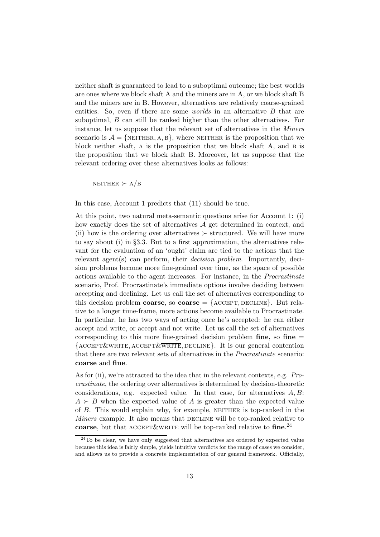neither shaft is guaranteed to lead to a suboptimal outcome; the best worlds are ones where we block shaft A and the miners are in A, or we block shaft B and the miners are in B. However, alternatives are relatively coarse-grained entities. So, even if there are some *worlds* in an alternative B that are suboptimal, B can still be ranked higher than the other alternatives. For instance, let us suppose that the relevant set of alternatives in the Miners scenario is  $\mathcal{A} = \{$ NEITHER, A, B $\}$ , where NEITHER is the proposition that we block neither shaft, A is the proposition that we block shaft A, and B is the proposition that we block shaft B. Moreover, let us suppose that the relevant ordering over these alternatives looks as follows:

NEITHER  $\succ$  A/B

In this case, Account 1 predicts that [\(11\)](#page-11-0) should be true.

At this point, two natural meta-semantic questions arise for Account 1: (i) how exactly does the set of alternatives  $A$  get determined in context, and (ii) how is the ordering over alternatives  $\succ$  structured. We will have more to say about (i) in §[3.3.](#page-16-0) But to a first approximation, the alternatives relevant for the evaluation of an 'ought' claim are tied to the actions that the relevant agent(s) can perform, their *decision problem*. Importantly, decision problems become more fine-grained over time, as the space of possible actions available to the agent increases. For instance, in the Procrastinate scenario, Prof. Procrastinate's immediate options involve deciding between accepting and declining. Let us call the set of alternatives corresponding to this decision problem **coarse**, so **coarse**  $= \{$  ACCEPT, DECLINE $\}$ . But relative to a longer time-frame, more actions become available to Procrastinate. In particular, he has two ways of acting once he's accepted: he can either accept and write, or accept and not write. Let us call the set of alternatives corresponding to this more fine-grained decision problem fine, so fine  $=$  ${$ <u>ACCEPT&WRITE, ACCEPT&WRITE</u>, DECLINE}. It is our general contention that there are two relevant sets of alternatives in the Procrastinate scenario: coarse and fine.

As for (ii), we're attracted to the idea that in the relevant contexts, e.g. Procrastinate, the ordering over alternatives is determined by decision-theoretic considerations, e.g. expected value. In that case, for alternatives  $A, B$ :  $A \succ B$  when the expected value of A is greater than the expected value of B. This would explain why, for example, neither is top-ranked in the Miners example. It also means that DECLINE will be top-ranked relative to coarse, but that ACCEPT&WRITE will be top-ranked relative to fine.<sup>24</sup>

<sup>&</sup>lt;sup>24</sup>To be clear, we have only suggested that alternatives are ordered by expected value because this idea is fairly simple, yields intuitive verdicts for the range of cases we consider, and allows us to provide a concrete implementation of our general framework. Officially,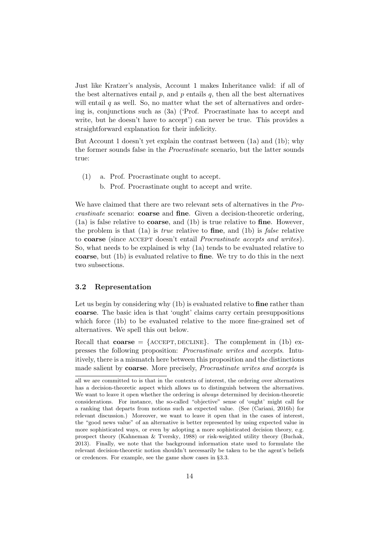Just like Kratzer's analysis, Account 1 makes Inheritance valid: if all of the best alternatives entail  $p$ , and  $p$  entails  $q$ , then all the best alternatives will entail  $q$  as well. So, no matter what the set of alternatives and ordering is, conjunctions such as [\(3a\)](#page-2-0) ('Prof. Procrastinate has to accept and write, but he doesn't have to accept') can never be true. This provides a straightforward explanation for their infelicity.

But Account 1 doesn't yet explain the contrast between [\(1a\)](#page-1-0) and [\(1b\)](#page-1-1); why the former sounds false in the Procrastinate scenario, but the latter sounds true:

- [\(1\)](#page-1-0) a. Prof. Procrastinate ought to accept.
	- b. Prof. Procrastinate ought to accept and write.

We have claimed that there are two relevant sets of alternatives in the Procrastinate scenario: coarse and fine. Given a decision-theoretic ordering, [\(1a\)](#page-1-0) is false relative to coarse, and [\(1b\)](#page-1-1) is true relative to fine. However, the problem is that  $(1a)$  is *true* relative to **fine**, and  $(1b)$  is *false* relative to coarse (since accept doesn't entail Procrastinate accepts and writes). So, what needs to be explained is why [\(1a\)](#page-1-0) tends to be evaluated relative to coarse, but [\(1b\)](#page-1-1) is evaluated relative to fine. We try to do this in the next two subsections.

#### <span id="page-13-0"></span>3.2 Representation

Let us begin by considering why  $(1b)$  is evaluated relative to **fine** rather than coarse. The basic idea is that 'ought' claims carry certain presuppositions which force [\(1b\)](#page-1-1) to be evaluated relative to the more fine-grained set of alternatives. We spell this out below.

Recall that  $\text{coarse} = \{\text{ACCEPT}, \text{DECLINE}\}\text{.}$  The complement in [\(1b\)](#page-1-1) expresses the following proposition: Procrastinate writes and accepts. Intuitively, there is a mismatch here between this proposition and the distinctions made salient by coarse. More precisely, Procrastinate writes and accepts is

all we are committed to is that in the contexts of interest, the ordering over alternatives has a decision-theoretic aspect which allows us to distinguish between the alternatives. We want to leave it open whether the ordering is *always* determined by decision-theoretic considerations. For instance, the so-called "objective" sense of 'ought' might call for a ranking that departs from notions such as expected value. (See [\(Cariani,](#page-27-11) [2016b\)](#page-27-11) for relevant discussion.) Moreover, we want to leave it open that in the cases of interest, the "good news value" of an alternative is better represented by using expected value in more sophisticated ways, or even by adopting a more sophisticated decision theory, e.g. prospect theory [\(Kahneman & Tversky,](#page-28-21) [1988\)](#page-28-21) or risk-weighted utility theory [\(Buchak,](#page-26-3) [2013\)](#page-26-3). Finally, we note that the background information state used to formulate the relevant decision-theoretic notion shouldn't necessarily be taken to be the agent's beliefs or credences. For example, see the game show cases in §[3.3.](#page-16-0)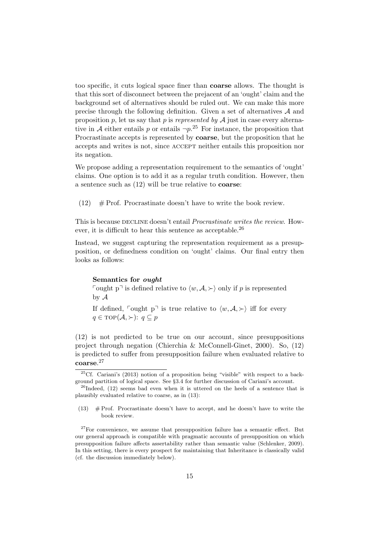too specific, it cuts logical space finer than coarse allows. The thought is that this sort of disconnect between the prejacent of an 'ought' claim and the background set of alternatives should be ruled out. We can make this more precise through the following definition. Given a set of alternatives A and proposition p, let us say that p is represented by  $A$  just in case every alternative in A either entails p or entails  $\neg p$ .<sup>25</sup> For instance, the proposition that Procrastinate accepts is represented by coarse, but the proposition that he accepts and writes is not, since accept neither entails this proposition nor its negation.

We propose adding a representation requirement to the semantics of 'ought' claims. One option is to add it as a regular truth condition. However, then a sentence such as [\(12\)](#page-14-0) will be true relative to coarse:

<span id="page-14-0"></span> $(12)$  # Prof. Procrastinate doesn't have to write the book review.

This is because DECLINE doesn't entail *Procrastinate writes the review*. However, it is difficult to hear this sentence as acceptable.<sup>26</sup>

Instead, we suggest capturing the representation requirement as a presupposition, or definedness condition on 'ought' claims. Our final entry then looks as follows:

#### Semantics for ought

Fought p<sup> $\exists$ </sup> is defined relative to  $\langle w, \mathcal{A}, \rangle$  only if p is represented by A

If defined,  $\lceil \text{ought } p \rceil$  is true relative to  $\langle w, \mathcal{A}, \rangle$  iff for every  $q \in \text{TOP}(\mathcal{A}, \succ)$ :  $q \subseteq p$ 

[\(12\)](#page-14-0) is not predicted to be true on our account, since presuppositions project through negation [\(Chierchia & McConnell-Ginet,](#page-27-14) [2000\)](#page-27-14). So, [\(12\)](#page-14-0) is predicted to suffer from presupposition failure when evaluated relative to coarse. 27

<sup>&</sup>lt;sup>25</sup>Cf. [Cariani'](#page-26-0)s [\(2013\)](#page-26-0) notion of a proposition being "visible" with respect to a background partition of logical space. See §[3.4](#page-23-0) for further discussion of Cariani's account.

 $^{26}$ Indeed, [\(12\)](#page-14-0) seems bad even when it is uttered on the heels of a sentence that is plausibly evaluated relative to coarse, as in [\(13\)](#page-14-1):

<span id="page-14-1"></span> $(13)$  # Prof. Procrastinate doesn't have to accept, and he doesn't have to write the book review.

 $27$ For convenience, we assume that presupposition failure has a semantic effect. But our general approach is compatible with pragmatic accounts of presupposition on which presupposition failure affects assertability rather than semantic value [\(Schlenker,](#page-28-1) [2009\)](#page-28-1). In this setting, there is every prospect for maintaining that Inheritance is classically valid (cf. the discussion immediately below).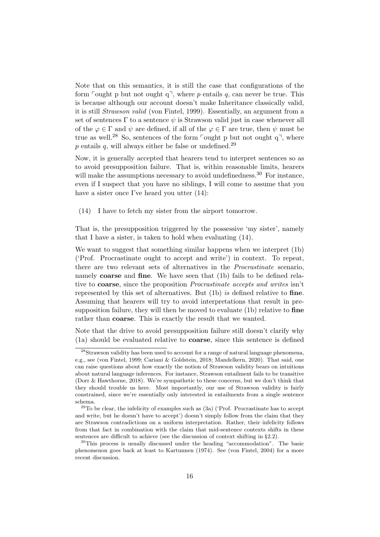Note that on this semantics, it is still the case that configurations of the form  $\lceil \text{ought p but not ought q}, \text{where } p \text{ entails } q, \text{ can never be true. This}$ is because although our account doesn't make Inheritance classically valid, it is still Strawson valid [\(von Fintel,](#page-27-15) [1999\)](#page-27-15). Essentially, an argument from a set of sentences  $\Gamma$  to a sentence  $\psi$  is Strawson valid just in case whenever all of the  $\varphi \in \Gamma$  and  $\psi$  are defined, if all of the  $\varphi \in \Gamma$  are true, then  $\psi$  must be true as well.<sup>28</sup> So, sentences of the form  $\lceil \text{ought p but not ought q} \rceil$ , where p entails q, will always either be false or undefined.<sup>29</sup>

Now, it is generally accepted that hearers tend to interpret sentences so as to avoid presupposition failure. That is, within reasonable limits, hearers will make the assumptions necessary to avoid undefinedness.<sup>30</sup> For instance, even if I suspect that you have no siblings, I will come to assume that you have a sister once I've heard you utter  $(14)$ :

<span id="page-15-0"></span>(14) I have to fetch my sister from the airport tomorrow.

That is, the presupposition triggered by the possessive 'my sister', namely that I have a sister, is taken to hold when evaluating [\(14\)](#page-15-0).

We want to suggest that something similar happens when we interpret [\(1b\)](#page-1-1) ('Prof. Procrastinate ought to accept and write') in context. To repeat, there are two relevant sets of alternatives in the Procrastinate scenario, namely coarse and fine. We have seen that [\(1b\)](#page-1-1) fails to be defined relative to coarse, since the proposition Procrastinate accepts and writes isn't represented by this set of alternatives. But [\(1b\)](#page-1-1) is defined relative to fine. Assuming that hearers will try to avoid interpretations that result in pre-supposition failure, they will then be moved to evaluate [\(1b\)](#page-1-1) relative to fine rather than coarse. This is exactly the result that we wanted.

Note that the drive to avoid presupposition failure still doesn't clarify why [\(1a\)](#page-1-0) should be evaluated relative to coarse, since this sentence is defined

<sup>28</sup>Strawson validity has been used to account for a range of natural language phenomena, e.g., see [\(von Fintel,](#page-27-15) [1999;](#page-27-15) [Cariani & Goldstein,](#page-27-16) [2018;](#page-27-16) [Mandelkern,](#page-28-22) [2020\)](#page-28-22). That said, one can raise questions about how exactly the notion of Strawson validity bears on intuitions about natural language inferences. For instance, Strawson entailment fails to be transitive [\(Dorr & Hawthorne,](#page-27-17) [2018\)](#page-27-17). We're sympathetic to these concerns, but we don't think that they should trouble us here. Most importantly, our use of Strawson validity is fairly constrained, since we're essentially only interested in entailments from a single sentence schema.

 $29$ To be clear, the infelicity of examples such as  $(3a)$  ('Prof. Procrastinate has to accept and write, but he doesn't have to accept') doesn't simply follow from the claim that they are Strawson contradictions on a uniform interpretation. Rather, their infelicity follows from that fact in combination with the claim that mid-sentence contexts shifts in these sentences are difficult to achieve (see the discussion of context shifting in §[2.2\)](#page-5-0).

<sup>30</sup>This process is usually discussed under the heading "accommodation". The basic phenomenon goes back at least to [Kartunnen](#page-28-23) [\(1974\)](#page-28-23). See [\(von Fintel,](#page-27-18) [2004\)](#page-27-18) for a more recent discussion.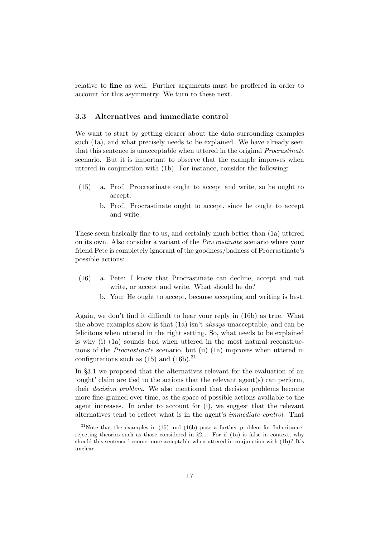relative to fine as well. Further arguments must be proffered in order to account for this asymmetry. We turn to these next.

## <span id="page-16-0"></span>3.3 Alternatives and immediate control

We want to start by getting clearer about the data surrounding examples such [\(1a\)](#page-1-0), and what precisely needs to be explained. We have already seen that this sentence is unacceptable when uttered in the original Procrastinate scenario. But it is important to observe that the example improves when uttered in conjunction with [\(1b\)](#page-1-1). For instance, consider the following:

- <span id="page-16-2"></span>(15) a. Prof. Procrastinate ought to accept and write, so he ought to accept.
	- b. Prof. Procrastinate ought to accept, since he ought to accept and write.

These seem basically fine to us, and certainly much better than [\(1a\)](#page-1-0) uttered on its own. Also consider a variant of the Procrastinate scenario where your friend Pete is completely ignorant of the goodness/badness of Procrastinate's possible actions:

- <span id="page-16-1"></span>(16) a. Pete: I know that Procrastinate can decline, accept and not write, or accept and write. What should he do?
	- b. You: He ought to accept, because accepting and writing is best.

Again, we don't find it difficult to hear your reply in [\(16b\)](#page-16-1) as true. What the above examples show is that [\(1a\)](#page-1-0) isn't always unacceptable, and can be felicitous when uttered in the right setting. So, what needs to be explained is why (i) [\(1a\)](#page-1-0) sounds bad when uttered in the most natural reconstructions of the Procrastinate scenario, but (ii) [\(1a\)](#page-1-0) improves when uttered in configurations such as  $(15)$  and  $(16b)$ .<sup>31</sup>

In §[3.1](#page-10-1) we proposed that the alternatives relevant for the evaluation of an 'ought' claim are tied to the actions that the relevant agent(s) can perform, their decision problem. We also mentioned that decision problems become more fine-grained over time, as the space of possible actions available to the agent increases. In order to account for (i), we suggest that the relevant alternatives tend to reflect what is in the agent's immediate control. That

 $31$ Note that the examples in [\(15\)](#page-16-2) and [\(16b\)](#page-16-1) pose a further problem for Inheritancerejecting theories such as those considered in  $\S 2.1$ . For if  $(1a)$  is false in context, why should this sentence become more acceptable when uttered in conjunction with [\(1b\)](#page-1-1)? It's unclear.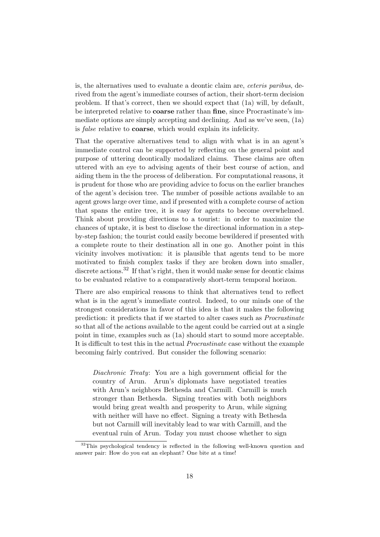is, the alternatives used to evaluate a deontic claim are, ceteris paribus, derived from the agent's immediate courses of action, their short-term decision problem. If that's correct, then we should expect that [\(1a\)](#page-1-0) will, by default, be interpreted relative to coarse rather than fine, since Procrastinate's immediate options are simply accepting and declining. And as we've seen, [\(1a\)](#page-1-0) is false relative to coarse, which would explain its infelicity.

That the operative alternatives tend to align with what is in an agent's immediate control can be supported by reflecting on the general point and purpose of uttering deontically modalized claims. These claims are often uttered with an eye to advising agents of their best course of action, and aiding them in the the process of deliberation. For computational reasons, it is prudent for those who are providing advice to focus on the earlier branches of the agent's decision tree. The number of possible actions available to an agent grows large over time, and if presented with a complete course of action that spans the entire tree, it is easy for agents to become overwhelmed. Think about providing directions to a tourist: in order to maximize the chances of uptake, it is best to disclose the directional information in a stepby-step fashion; the tourist could easily become bewildered if presented with a complete route to their destination all in one go. Another point in this vicinity involves motivation: it is plausible that agents tend to be more motivated to finish complex tasks if they are broken down into smaller, discrete actions.<sup>32</sup> If that's right, then it would make sense for deontic claims to be evaluated relative to a comparatively short-term temporal horizon.

There are also empirical reasons to think that alternatives tend to reflect what is in the agent's immediate control. Indeed, to our minds one of the strongest considerations in favor of this idea is that it makes the following prediction: it predicts that if we started to alter cases such as Procrastinate so that all of the actions available to the agent could be carried out at a single point in time, examples such as [\(1a\)](#page-1-0) should start to sound more acceptable. It is difficult to test this in the actual Procrastinate case without the example becoming fairly contrived. But consider the following scenario:

Diachronic Treaty: You are a high government official for the country of Arun. Arun's diplomats have negotiated treaties with Arun's neighbors Bethesda and Carmill. Carmill is much stronger than Bethesda. Signing treaties with both neighbors would bring great wealth and prosperity to Arun, while signing with neither will have no effect. Signing a treaty with Bethesda but not Carmill will inevitably lead to war with Carmill, and the eventual ruin of Arun. Today you must choose whether to sign

 $32$ This psychological tendency is reflected in the following well-known question and answer pair: How do you eat an elephant? One bite at a time!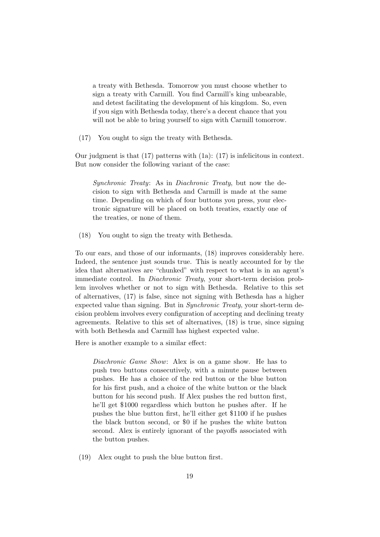a treaty with Bethesda. Tomorrow you must choose whether to sign a treaty with Carmill. You find Carmill's king unbearable, and detest facilitating the development of his kingdom. So, even if you sign with Bethesda today, there's a decent chance that you will not be able to bring yourself to sign with Carmill tomorrow.

<span id="page-18-0"></span>(17) You ought to sign the treaty with Bethesda.

Our judgment is that  $(17)$  patterns with  $(1a)$ :  $(17)$  is infelicitous in context. But now consider the following variant of the case:

Synchronic Treaty: As in Diachronic Treaty, but now the decision to sign with Bethesda and Carmill is made at the same time. Depending on which of four buttons you press, your electronic signature will be placed on both treaties, exactly one of the treaties, or none of them.

<span id="page-18-1"></span>(18) You ought to sign the treaty with Bethesda.

To our ears, and those of our informants, [\(18\)](#page-18-1) improves considerably here. Indeed, the sentence just sounds true. This is neatly accounted for by the idea that alternatives are "chunked" with respect to what is in an agent's immediate control. In Diachronic Treaty, your short-term decision problem involves whether or not to sign with Bethesda. Relative to this set of alternatives, [\(17\)](#page-18-0) is false, since not signing with Bethesda has a higher expected value than signing. But in Synchronic Treaty, your short-term decision problem involves every configuration of accepting and declining treaty agreements. Relative to this set of alternatives, [\(18\)](#page-18-1) is true, since signing with both Bethesda and Carmill has highest expected value.

Here is another example to a similar effect:

Diachronic Game Show: Alex is on a game show. He has to push two buttons consecutively, with a minute pause between pushes. He has a choice of the red button or the blue button for his first push, and a choice of the white button or the black button for his second push. If Alex pushes the red button first, he'll get \$1000 regardless which button he pushes after. If he pushes the blue button first, he'll either get \$1100 if he pushes the black button second, or \$0 if he pushes the white button second. Alex is entirely ignorant of the payoffs associated with the button pushes.

<span id="page-18-2"></span>(19) Alex ought to push the blue button first.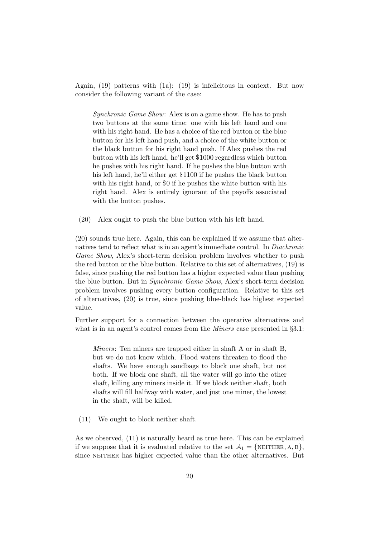Again, [\(19\)](#page-18-2) patterns with [\(1a\)](#page-1-0): [\(19\)](#page-18-2) is infelicitous in context. But now consider the following variant of the case:

Synchronic Game Show: Alex is on a game show. He has to push two buttons at the same time: one with his left hand and one with his right hand. He has a choice of the red button or the blue button for his left hand push, and a choice of the white button or the black button for his right hand push. If Alex pushes the red button with his left hand, he'll get \$1000 regardless which button he pushes with his right hand. If he pushes the blue button with his left hand, he'll either get \$1100 if he pushes the black button with his right hand, or \$0 if he pushes the white button with his right hand. Alex is entirely ignorant of the payoffs associated with the button pushes.

<span id="page-19-0"></span>(20) Alex ought to push the blue button with his left hand.

[\(20\)](#page-19-0) sounds true here. Again, this can be explained if we assume that alternatives tend to reflect what is in an agent's immediate control. In Diachronic Game Show, Alex's short-term decision problem involves whether to push the red button or the blue button. Relative to this set of alternatives, [\(19\)](#page-18-2) is false, since pushing the red button has a higher expected value than pushing the blue button. But in Synchronic Game Show, Alex's short-term decision problem involves pushing every button configuration. Relative to this set of alternatives, [\(20\)](#page-19-0) is true, since pushing blue-black has highest expected value.

Further support for a connection between the operative alternatives and what is in an agent's control comes from the *Miners* case presented in §[3.1:](#page-10-1)

Miners: Ten miners are trapped either in shaft A or in shaft B, but we do not know which. Flood waters threaten to flood the shafts. We have enough sandbags to block one shaft, but not both. If we block one shaft, all the water will go into the other shaft, killing any miners inside it. If we block neither shaft, both shafts will fill halfway with water, and just one miner, the lowest in the shaft, will be killed.

[\(11\)](#page-11-0) We ought to block neither shaft.

As we observed, [\(11\)](#page-11-0) is naturally heard as true here. This can be explained if we suppose that it is evaluated relative to the set  $\mathcal{A}_1 = \{ \text{NETHER}, A, B \},\$ since NEITHER has higher expected value than the other alternatives. But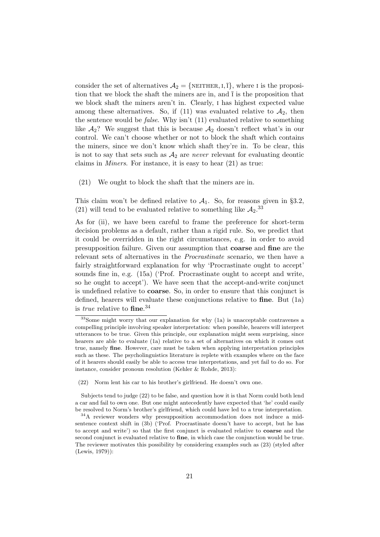consider the set of alternatives  $A_2 = \{$ NEITHER, I,  $\overline{I}$ , where I is the proposition that we block the shaft the miners are in, and  $\bar{I}$  is the proposition that we block shaft the miners aren't in. Clearly, i has highest expected value among these alternatives. So, if [\(11\)](#page-11-0) was evaluated relative to  $A_2$ , then the sentence would be *false*. Why isn't  $(11)$  evaluated relative to something like  $A_2$ ? We suggest that this is because  $A_2$  doesn't reflect what's in our control. We can't choose whether or not to block the shaft which contains the miners, since we don't know which shaft they're in. To be clear, this is not to say that sets such as  $A_2$  are *never* relevant for evaluating deontic claims in Miners. For instance, it is easy to hear [\(21\)](#page-20-0) as true:

<span id="page-20-0"></span>(21) We ought to block the shaft that the miners are in.

This claim won't be defined relative to  $A_1$ . So, for reasons given in §[3.2,](#page-13-0) [\(21\)](#page-20-0) will tend to be evaluated relative to something like  $A_2$ .<sup>33</sup>

As for (ii), we have been careful to frame the preference for short-term decision problems as a default, rather than a rigid rule. So, we predict that it could be overridden in the right circumstances, e.g. in order to avoid presupposition failure. Given our assumption that coarse and fine are the relevant sets of alternatives in the Procrastinate scenario, we then have a fairly straightforward explanation for why 'Procrastinate ought to accept' sounds fine in, e.g. [\(15a\)](#page-16-2) ('Prof. Procrastinate ought to accept and write, so he ought to accept'). We have seen that the accept-and-write conjunct is undefined relative to coarse. So, in order to ensure that this conjunct is defined, hearers will evaluate these conjunctions relative to fine. But [\(1a\)](#page-1-0) is *true* relative to  $\text{fine.}^{34}$ 

 $33$ Some might worry that our explanation for why [\(1a\)](#page-1-0) is unacceptable contravenes a compelling principle involving speaker interpretation: when possible, hearers will interpret utterances to be true. Given this principle, our explanation might seem surprising, since hearers are able to evaluate [\(1a\)](#page-1-0) relative to a set of alternatives on which it comes out true, namely fine. However, care must be taken when applying interpretation principles such as these. The psycholinguistics literature is replete with examples where on the face of it hearers should easily be able to access true interpretations, and yet fail to do so. For instance, consider pronoun resolution [\(Kehler & Rohde,](#page-28-24) [2013\)](#page-28-24):

<span id="page-20-1"></span><sup>(22)</sup> Norm lent his car to his brother's girlfriend. He doesn't own one.

Subjects tend to judge [\(22\)](#page-20-1) to be false, and question how it is that Norm could both lend a car and fail to own one. But one might antecedently have expected that 'he' could easily be resolved to Norm's brother's girlfriend, which could have led to a true interpretation.

<sup>34</sup>A reviewer wonders why presupposition accommodation does not induce a midsentence context shift in [\(3b\)](#page-2-1) ('Prof. Procrastinate doesn't have to accept, but he has to accept and write') so that the first conjunct is evaluated relative to coarse and the second conjunct is evaluated relative to fine, in which case the conjunction would be true. The reviewer motivates this possibility by considering examples such as [\(23\)](#page-21-0) (styled after [\(Lewis,](#page-28-25) [1979\)](#page-28-25)):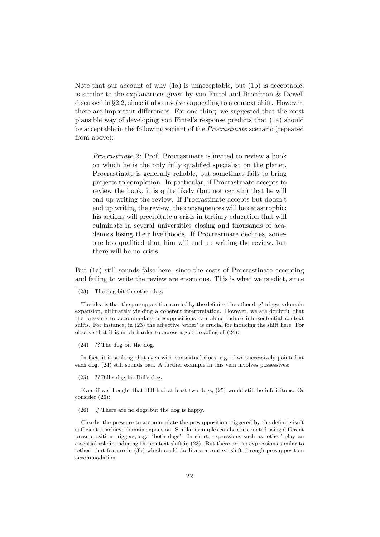Note that our account of why [\(1a\)](#page-1-0) is unacceptable, but [\(1b\)](#page-1-1) is acceptable, is similar to the explanations given by [von Fintel](#page-27-1) and [Bronfman & Dowell](#page-26-2) discussed in §[2.2,](#page-5-0) since it also involves appealing to a context shift. However, there are important differences. For one thing, we suggested that the most plausible way of developing [von Fintel'](#page-27-1)s response predicts that [\(1a\)](#page-1-0) should be acceptable in the following variant of the Procrastinate scenario (repeated from above):

Procrastinate 2: Prof. Procrastinate is invited to review a book on which he is the only fully qualified specialist on the planet. Procrastinate is generally reliable, but sometimes fails to bring projects to completion. In particular, if Procrastinate accepts to review the book, it is quite likely (but not certain) that he will end up writing the review. If Procrastinate accepts but doesn't end up writing the review, the consequences will be catastrophic: his actions will precipitate a crisis in tertiary education that will culminate in several universities closing and thousands of academics losing their livelihoods. If Procrastinate declines, someone less qualified than him will end up writing the review, but there will be no crisis.

But [\(1a\)](#page-1-0) still sounds false here, since the costs of Procrastinate accepting and failing to write the review are enormous. This is what we predict, since

<span id="page-21-1"></span>(24) ?? The dog bit the dog.

In fact, it is striking that even with contextual clues, e.g. if we successively pointed at each dog, [\(24\)](#page-21-1) still sounds bad. A further example in this vein involves possessives:

<span id="page-21-2"></span>(25) ?? Bill's dog bit Bill's dog.

Even if we thought that Bill had at least two dogs, [\(25\)](#page-21-2) would still be infelicitous. Or consider [\(26\)](#page-21-3):

<span id="page-21-3"></span> $(26)$  # There are no dogs but the dog is happy.

Clearly, the pressure to accommodate the presupposition triggered by the definite isn't sufficient to achieve domain expansion. Similar examples can be constructed using different presupposition triggers, e.g. 'both dogs'. In short, expressions such as 'other' play an essential role in inducing the context shift in [\(23\)](#page-21-0). But there are no expressions similar to 'other' that feature in [\(3b\)](#page-2-1) which could facilitate a context shift through presupposition accommodation.

<span id="page-21-0"></span><sup>(23)</sup> The dog bit the other dog.

The idea is that the presupposition carried by the definite 'the other dog' triggers domain expansion, ultimately yielding a coherent interpretation. However, we are doubtful that the pressure to accommodate presuppositions can alone induce intersentential context shifts. For instance, in [\(23\)](#page-21-0) the adjective 'other' is crucial for inducing the shift here. For observe that it is much harder to access a good reading of [\(24\)](#page-21-1):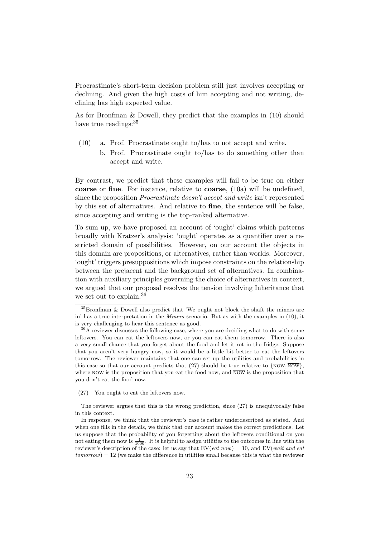Procrastinate's short-term decision problem still just involves accepting or declining. And given the high costs of him accepting and not writing, declining has high expected value.

As for [Bronfman & Dowell,](#page-26-2) they predict that the examples in [\(10\)](#page-9-0) should have true readings:  $35$ 

- [\(10\)](#page-9-0) a. Prof. Procrastinate ought to/has to not accept and write.
	- b. Prof. Procrastinate ought to/has to do something other than accept and write.

By contrast, we predict that these examples will fail to be true on either coarse or fine. For instance, relative to coarse, [\(10a\)](#page-9-0) will be undefined, since the proposition Procrastinate doesn't accept and write isn't represented by this set of alternatives. And relative to fine, the sentence will be false, since accepting and writing is the top-ranked alternative.

To sum up, we have proposed an account of 'ought' claims which patterns broadly with Kratzer's analysis: 'ought' operates as a quantifier over a restricted domain of possibilities. However, on our account the objects in this domain are propositions, or alternatives, rather than worlds. Moreover, 'ought' triggers presuppositions which impose constraints on the relationship between the prejacent and the background set of alternatives. In combination with auxiliary principles governing the choice of alternatives in context, we argued that our proposal resolves the tension involving Inheritance that we set out to explain.<sup>36</sup>

<span id="page-22-0"></span>(27) You ought to eat the leftovers now.

The reviewer argues that this is the wrong prediction, since [\(27\)](#page-22-0) is unequivocally false in this context.

<sup>35</sup>[Bronfman & Dowell](#page-26-2) also predict that 'We ought not block the shaft the miners are in' has a true interpretation in the Miners scenario. But as with the examples in [\(10\)](#page-9-0), it is very challenging to hear this sentence as good.

<sup>&</sup>lt;sup>36</sup>A reviewer discusses the following case, where you are deciding what to do with some leftovers. You can eat the leftovers now, or you can eat them tomorrow. There is also a very small chance that you forget about the food and let it rot in the fridge. Suppose that you aren't very hungry now, so it would be a little bit better to eat the leftovers tomorrow. The reviewer maintains that one can set up the utilities and probabilities in this case so that our account predicts that [\(27\)](#page-22-0) should be true relative to  $\{Now, \overline{Now}\},\$ where NOW is the proposition that you eat the food now, and  $\overline{Now}$  is the proposition that you don't eat the food now.

In response, we think that the reviewer's case is rather underdescribed as stated. And when one fills in the details, we think that our account makes the correct predictions. Let us suppose that the probability of you forgetting about the leftovers conditional on you not eating them now is  $\frac{1}{1000}$ . It is helpful to assign utilities to the outcomes in line with the reviewer's description of the case: let us say that  $EV(eat\; now) = 10$ , and  $EV(wait\; and\; eat$  $tomorrow = 12$  (we make the difference in utilities small because this is what the reviewer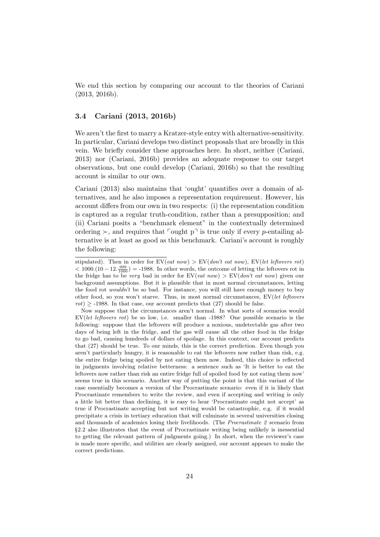We end this section by comparing our account to the theories of [Cariani](#page-26-0) [\(2013,](#page-26-0) [2016b\)](#page-27-11).

## <span id="page-23-0"></span>3.4 [Cariani](#page-26-0) [\(2013,](#page-26-0) [2016b\)](#page-27-11)

We aren't the first to marry a Kratzer-style entry with alternative-sensitivity. In particular, Cariani develops two distinct proposals that are broadly in this vein. We briefly consider these approaches here. In short, neither [\(Cariani,](#page-26-0) [2013\)](#page-26-0) nor [\(Cariani,](#page-27-11) [2016b\)](#page-27-11) provides an adequate response to our target observations, but one could develop [\(Cariani,](#page-27-11) [2016b\)](#page-27-11) so that the resulting account is similar to our own.

[Cariani](#page-26-0) [\(2013\)](#page-26-0) also maintains that 'ought' quantifies over a domain of alternatives, and he also imposes a representation requirement. However, his account differs from our own in two respects: (i) the representation condition is captured as a regular truth-condition, rather than a presupposition; and (ii) Cariani posits a "benchmark element" in the contextually determined ordering  $\succ$ , and requires that  $\lceil \text{ought p} \rceil$  is true only if every p-entailing alternative is at least as good as this benchmark. Cariani's account is roughly the following:

stipulated). Then in order for  $EV(eat\; now) > EV(don't\; eat\; now)$ ,  $EV(left\; leftovers\; rot)$  $<$  1000. $(10-12.\frac{999}{1000})$  = -1988. In other words, the outcome of letting the leftovers rot in the fridge has to be very bad in order for  $EV($ *eat now*)  $\geq EV(don't eat now)$  given our background assumptions. But it is plausible that in most normal circumstances, letting the food rot *wouldn't* be so bad. For instance, you will still have enough money to buy other food, so you won't starve. Thus, in most normal circumstances, EV(let leftovers  $rot$ ) > -1988. In that case, our account predicts that [\(27\)](#page-22-0) should be false.

Now suppose that the circumstances aren't normal. In what sorts of scenarios would EV(let leftovers rot) be so low, i.e. smaller than -1988? One possible scenario is the following: suppose that the leftovers will produce a noxious, undetectable gas after two days of being left in the fridge, and the gas will cause all the other food in the fridge to go bad, causing hundreds of dollars of spoilage. In this context, our account predicts that [\(27\)](#page-22-0) should be true. To our minds, this is the correct prediction. Even though you aren't particularly hungry, it is reasonable to eat the leftovers now rather than risk, e.g. the entire fridge being spoiled by not eating them now. Indeed, this choice is reflected in judgments involving relative betterness: a sentence such as 'It is better to eat the leftovers now rather than risk an entire fridge full of spoiled food by not eating them now' seems true in this scenario. Another way of putting the point is that this variant of the case essentially becomes a version of the Procrastinate scenario: even if it is likely that Procrastinate remembers to write the review, and even if accepting and writing is only a little bit better than declining, it is easy to hear 'Procrastinate ought not accept' as true if Procrastinate accepting but not writing would be catastrophic, e.g. if it would precipitate a crisis in tertiary education that will culminate in several universities closing and thousands of academics losing their livelihoods. (The Procrastinate 2 scenario from §[2.2](#page-5-0) also illustrates that the event of Procrastinate writing being unlikely is inessential to getting the relevant pattern of judgments going.) In short, when the reviewer's case is made more specific, and utilities are clearly assigned, our account appears to make the correct predictions.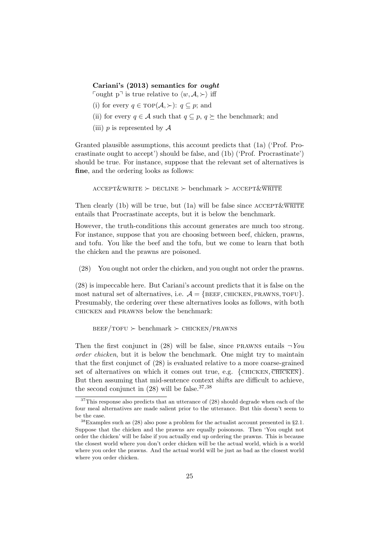[Cariani'](#page-26-0)s [\(2013\)](#page-26-0) semantics for ought

Fought p<sup> $\exists$ </sup> is true relative to  $\langle w, \mathcal{A}, \rangle$  iff

- (i) for every  $q \in \text{TOP}(\mathcal{A}, \succ)$ :  $q \subseteq p$ ; and
- (ii) for every  $q \in \mathcal{A}$  such that  $q \subset p$ ,  $q \succ$  the benchmark; and
- (iii) p is represented by  $\mathcal A$

Granted plausible assumptions, this account predicts that [\(1a\)](#page-1-0) ('Prof. Procrastinate ought to accept') should be false, and [\(1b\)](#page-1-1) ('Prof. Procrastinate') should be true. For instance, suppose that the relevant set of alternatives is fine, and the ordering looks as follows:

 $\text{ACCEPT}\&\text{WRITE} \succ \text{DECLINE} \succ \text{benchmark} \succ \text{ACCEPT}\&\overline{\text{WRITE}}$ 

Then clearly [\(1b\)](#page-1-1) will be true, but [\(1a\)](#page-1-0) will be false since  $\text{ACCEPT}\&\overline{\text{WRITE}}$ entails that Procrastinate accepts, but it is below the benchmark.

However, the truth-conditions this account generates are much too strong. For instance, suppose that you are choosing between beef, chicken, prawns, and tofu. You like the beef and the tofu, but we come to learn that both the chicken and the prawns are poisoned.

<span id="page-24-0"></span>(28) You ought not order the chicken, and you ought not order the prawns.

[\(28\)](#page-24-0) is impeccable here. But Cariani's account predicts that it is false on the most natural set of alternatives, i.e.  $A = \{BEEF, CHICKEN, PRAWNS, TOFU\}.$ Presumably, the ordering over these alternatives looks as follows, with both chicken and prawns below the benchmark:

 $BEEF/TOFU \succ \text{benchmark} \succ \text{CHICKEN}/\text{PRAWNS}$ 

Then the first conjunct in [\(28\)](#page-24-0) will be false, since PRAWNS entails  $\neg You$ order chicken, but it is below the benchmark. One might try to maintain that the first conjunct of [\(28\)](#page-24-0) is evaluated relative to a more coarse-grained set of alternatives on which it comes out true, e.g.  $\{CHICKEN, \overline{CHICKEN}\}.$ But then assuming that mid-sentence context shifts are difficult to achieve, the second conjunct in  $(28)$  will be false.<sup>37,38</sup>

<sup>&</sup>lt;sup>37</sup>This response also predicts that an utterance of [\(28\)](#page-24-0) should degrade when each of the four meal alternatives are made salient prior to the utterance. But this doesn't seem to be the case.

 $38$ Examples such as [\(28\)](#page-24-0) also pose a problem for the actualist account presented in §[2.1.](#page-3-0) Suppose that the chicken and the prawns are equally poisonous. Then 'You ought not order the chicken' will be false if you actually end up ordering the prawns. This is because the closest world where you don't order chicken will be the actual world, which is a world where you order the prawns. And the actual world will be just as bad as the closest world where you order chicken.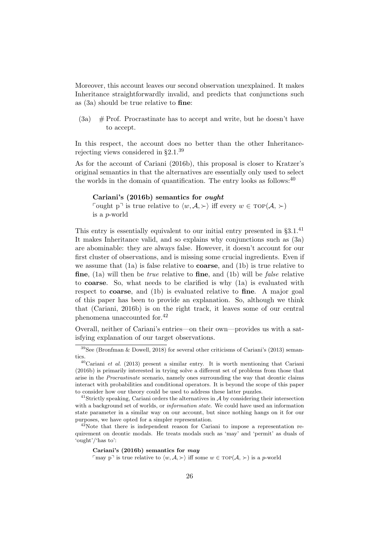Moreover, this account leaves our second observation unexplained. It makes Inheritance straightforwardly invalid, and predicts that conjunctions such as [\(3a\)](#page-2-0) should be true relative to fine:

 $(3a)$  # Prof. Procrastinate has to accept and write, but he doesn't have to accept.

In this respect, the account does no better than the other Inheritance-rejecting views considered in §[2.1.](#page-3-0)<sup>39</sup>

As for the account of [Cariani](#page-27-11) [\(2016b\)](#page-27-11), this proposal is closer to Kratzer's original semantics in that the alternatives are essentially only used to select the worlds in the domain of quantification. The entry looks as follows:  $40$ 

#### [Cariani'](#page-27-11)s [\(2016b\)](#page-27-11) semantics for ought

Fought p<sup> $\exists$ </sup> is true relative to  $\langle w, \mathcal{A}, \rangle$  iff every  $w \in \text{TOP}(\mathcal{A}, \rangle)$ is a p-world

This entry is essentially equivalent to our initial entry presented in  $\S 3.1^{41}$ It makes Inheritance valid, and so explains why conjunctions such as [\(3a\)](#page-2-0) are abominable: they are always false. However, it doesn't account for our first cluster of observations, and is missing some crucial ingredients. Even if we assume that  $(1a)$  is false relative to **coarse**, and  $(1b)$  is true relative to **fine**, [\(1a\)](#page-1-0) will then be *true* relative to **fine**, and [\(1b\)](#page-1-1) will be *false* relative to coarse. So, what needs to be clarified is why [\(1a\)](#page-1-0) is evaluated with respect to coarse, and [\(1b\)](#page-1-1) is evaluated relative to fine. A major goal of this paper has been to provide an explanation. So, although we think that [\(Cariani,](#page-27-11) [2016b\)](#page-27-11) is on the right track, it leaves some of our central phenomena unaccounted for.<sup>42</sup>

Overall, neither of Cariani's entries—on their own—provides us with a satisfying explanation of our target observations.

#### [Cariani'](#page-27-11)s [\(2016b\)](#page-27-11) semantics for may

may p<sup> $\top$ </sup> is true relative to  $\langle w, \mathcal{A}, \rangle$  iff some  $w \in \text{TOP}(\mathcal{A}, \rangle)$  is a p-world

 $39$ See [\(Bronfman & Dowell,](#page-26-2) [2018\)](#page-26-2) for several other criticisms of [Cariani'](#page-26-0)s [\(2013\)](#page-26-0) semantics.

 $^{40}$ [Cariani](#page-27-11) *et al.* [\(2013\)](#page-27-10) present a similar entry. It is worth mentioning that Cariani [\(2016b\)](#page-27-11) is primarily interested in trying solve a different set of problems from those that arise in the Procrastinate scenario, namely ones surrounding the way that deontic claims interact with probabilities and conditional operators. It is beyond the scope of this paper to consider how our theory could be used to address these latter puzzles.

 $41$ Strictly speaking, Cariani orders the alternatives in  $A$  by considering their intersection with a background set of worlds, or *information state*. We could have used an information state parameter in a similar way on our account, but since nothing hangs on it for our purposes, we have opted for a simpler representation.

 $42$ Note that there is independent reason for Cariani to impose a representation requirement on deontic modals. He treats modals such as 'may' and 'permit' as duals of 'ought'/'has to':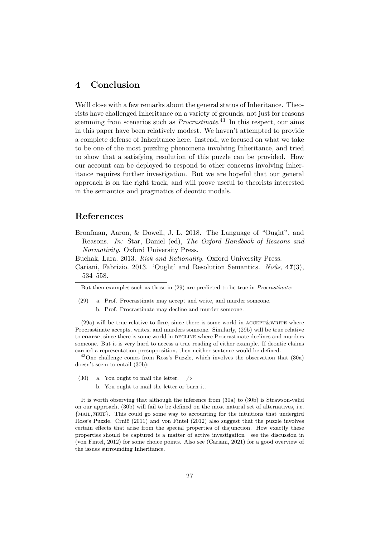## <span id="page-26-1"></span>4 Conclusion

We'll close with a few remarks about the general status of Inheritance. Theorists have challenged Inheritance on a variety of grounds, not just for reasons stemming from scenarios such as *Procrastinate*.<sup>43</sup> In this respect, our aims in this paper have been relatively modest. We haven't attempted to provide a complete defense of Inheritance here. Instead, we focused on what we take to be one of the most puzzling phenomena involving Inheritance, and tried to show that a satisfying resolution of this puzzle can be provided. How our account can be deployed to respond to other concerns involving Inheritance requires further investigation. But we are hopeful that our general approach is on the right track, and will prove useful to theorists interested in the semantics and pragmatics of deontic modals.

## References

<span id="page-26-2"></span>Bronfman, Aaron, & Dowell, J. L. 2018. The Language of "Ought", and Reasons. In: Star, Daniel (ed), The Oxford Handbook of Reasons and Normativity. Oxford University Press.

<span id="page-26-3"></span><span id="page-26-0"></span>Buchak, Lara. 2013. Risk and Rationality. Oxford University Press.

Cariani, Fabrizio. 2013. 'Ought' and Resolution Semantics. Noûs,  $47(3)$ , 534–558.

 $(29a)$  will be true relative to fine, since there is some world in ACCEPT & WRITE where Procrastinate accepts, writes, and murders someone. Similarly, [\(29b\)](#page-26-5) will be true relative to coarse, since there is some world in DECLINE where Procrastinate declines and murders someone. But it is very hard to access a true reading of either example. If deontic claims carried a representation presupposition, then neither sentence would be defined.

<sup>43</sup>One challenge comes from Ross's Puzzle, which involves the observation that [\(30a\)](#page-26-6) doesn't seem to entail [\(30b\)](#page-26-7):

- <span id="page-26-7"></span><span id="page-26-6"></span>(30) a. You ought to mail the letter.  $\Rightarrow$ 
	- b. You ought to mail the letter or burn it.

It is worth observing that although the inference from [\(30a\)](#page-26-6) to [\(30b\)](#page-26-7) is Strawson-valid on our approach, [\(30b\)](#page-26-7) will fail to be defined on the most natural set of alternatives, i.e. {mail, mail}. This could go some way to accounting for the intuitions that undergird Ross's Puzzle. Crnič [\(2011\)](#page-27-0) and [von Fintel](#page-27-1) [\(2012\)](#page-27-1) also suggest that the puzzle involves certain effects that arise from the special properties of disjunction. How exactly these properties should be captured is a matter of active investigation—see the discussion in [\(von Fintel,](#page-27-1) [2012\)](#page-27-1) for some choice points. Also see [\(Cariani,](#page-27-8) [2021\)](#page-27-8) for a good overview of the issues surrounding Inheritance.

But then examples such as those in [\(29\)](#page-26-4) are predicted to be true in Procrastinate:

<span id="page-26-5"></span><span id="page-26-4"></span><sup>(29)</sup> a. Prof. Procrastinate may accept and write, and murder someone. b. Prof. Procrastinate may decline and murder someone.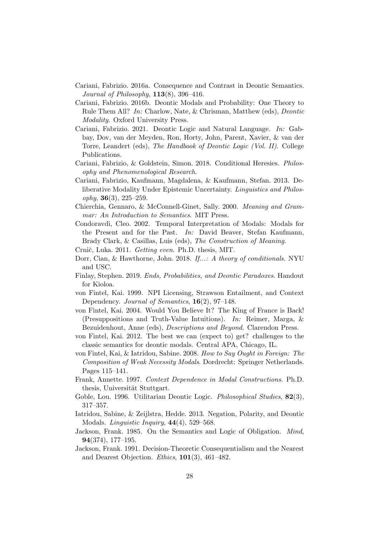- <span id="page-27-9"></span>Cariani, Fabrizio. 2016a. Consequence and Contrast in Deontic Semantics. Journal of Philosophy,  $113(8)$ , 396-416.
- <span id="page-27-11"></span>Cariani, Fabrizio. 2016b. Deontic Modals and Probability: One Theory to Rule Them All? In: Charlow, Nate, & Chrisman, Matthew (eds), Deontic Modality. Oxford University Press.
- <span id="page-27-8"></span>Cariani, Fabrizio. 2021. Deontic Logic and Natural Language. In: Gabbay, Dov, van der Meyden, Ron, Horty, John, Parent, Xavier, & van der Torre, Leandert (eds), The Handbook of Deontic Logic (Vol. II). College Publications.
- <span id="page-27-16"></span>Cariani, Fabrizio, & Goldstein, Simon. 2018. Conditional Heresies. Philosophy and Phenomenological Research.
- <span id="page-27-10"></span>Cariani, Fabrizio, Kaufmann, Magdalena, & Kaufmann, Stefan. 2013. Deliberative Modality Under Epistemic Uncertainty. Linguistics and Philos $ophy, 36(3), 225-259.$
- <span id="page-27-14"></span>Chierchia, Gennaro, & McConnell-Ginet, Sally. 2000. Meaning and Grammar: An Introduction to Semantics. MIT Press.
- <span id="page-27-12"></span>Condoravdi, Cleo. 2002. Temporal Interpretation of Modals: Modals for the Present and for the Past. In: David Beaver, Stefan Kaufmann, Brady Clark, & Casillas, Luis (eds), The Construction of Meaning.
- <span id="page-27-0"></span>Crnič, Luka. 2011. Getting even. Ph.D. thesis, MIT.
- <span id="page-27-17"></span>Dorr, Cian, & Hawthorne, John. 2018. If...: A theory of conditionals. NYU and USC.
- <span id="page-27-5"></span>Finlay, Stephen. 2019. Ends, Probabilities, and Deontic Paradoxes. Handout for Kioloa.
- <span id="page-27-15"></span>von Fintel, Kai. 1999. NPI Licensing, Strawson Entailment, and Context Dependency. Journal of Semantics, **16**(2), 97–148.
- <span id="page-27-18"></span>von Fintel, Kai. 2004. Would You Believe It? The King of France is Back! (Presuppositions and Truth-Value Intuitions). In: Reimer, Marga, & Bezuidenhout, Anne (eds), Descriptions and Beyond. Clarendon Press.
- <span id="page-27-1"></span>von Fintel, Kai. 2012. The best we can (expect to) get? challenges to the classic semantics for deontic modals. Central APA, Chicago, IL.
- <span id="page-27-3"></span>von Fintel, Kai, & Iatridou, Sabine. 2008. How to Say Ought in Foreign: The Composition of Weak Necessity Modals. Dordrecht: Springer Netherlands. Pages 115–141.
- <span id="page-27-13"></span>Frank, Annette. 1997. Context Dependence in Modal Constructions. Ph.D. thesis, Universität Stuttgart.
- <span id="page-27-7"></span>Goble, Lou. 1996. Utilitarian Deontic Logic. Philosophical Studies, 82(3), 317–357.
- <span id="page-27-2"></span>Iatridou, Sabine, & Zeijlstra, Hedde. 2013. Negation, Polarity, and Deontic Modals. *Linguistic Inquiry*,  $44(4)$ , 529-568.
- <span id="page-27-6"></span>Jackson, Frank. 1985. On the Semantics and Logic of Obligation. Mind, 94(374), 177–195.
- <span id="page-27-4"></span>Jackson, Frank. 1991. Decision-Theoretic Consequentialism and the Nearest and Dearest Objection. Ethics, 101(3), 461–482.